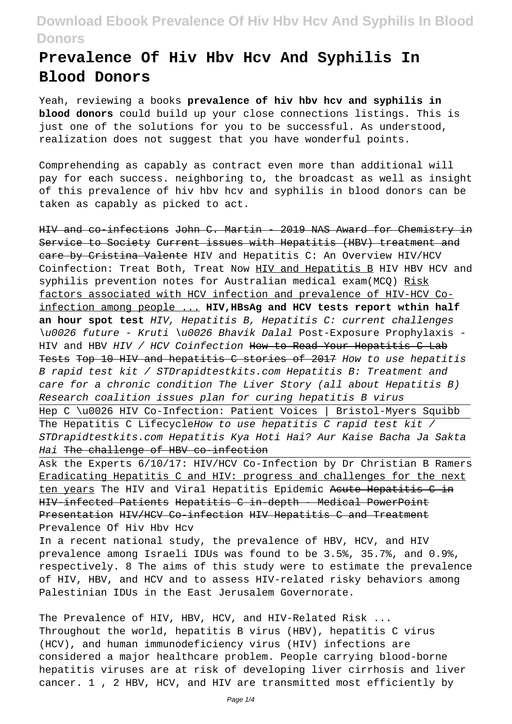# **Prevalence Of Hiv Hbv Hcv And Syphilis In Blood Donors**

Yeah, reviewing a books **prevalence of hiv hbv hcv and syphilis in blood donors** could build up your close connections listings. This is just one of the solutions for you to be successful. As understood, realization does not suggest that you have wonderful points.

Comprehending as capably as contract even more than additional will pay for each success. neighboring to, the broadcast as well as insight of this prevalence of hiv hbv hcv and syphilis in blood donors can be taken as capably as picked to act.

HIV and co-infections John C. Martin - 2019 NAS Award for Chemistry in Service to Society Current issues with Hepatitis (HBV) treatment and eare by Cristina Valente HIV and Hepatitis C: An Overview HIV/HCV Coinfection: Treat Both, Treat Now HIV and Hepatitis B HIV HBV HCV and syphilis prevention notes for Australian medical exam(MCQ) Risk factors associated with HCV infection and prevalence of HIV-HCV Coinfection among people ... **HIV,HBsAg and HCV tests report wthin half an hour spot test** HIV, Hepatitis B, Hepatitis C: current challenges \u0026 future - Kruti \u0026 Bhavik Dalal Post-Exposure Prophylaxis - HIV and HBV HIV / HCV Coinfection How to Read Your Hepatitis C Lab Tests Top 10 HIV and hepatitis C stories of 2017 How to use hepatitis B rapid test kit / STDrapidtestkits.com Hepatitis B: Treatment and care for a chronic condition The Liver Story (all about Hepatitis B) Research coalition issues plan for curing hepatitis B virus Hep C \u0026 HIV Co-Infection: Patient Voices | Bristol-Myers Squibb The Hepatitis C LifecycleHow to use hepatitis C rapid test kit / STDrapidtestkits.com Hepatitis Kya Hoti Hai? Aur Kaise Bacha Ja Sakta Hai The challenge of HBV co-infection Ask the Experts 6/10/17: HIV/HCV Co-Infection by Dr Christian B Ramers

Eradicating Hepatitis C and HIV: progress and challenges for the next ten years The HIV and Viral Hepatitis Epidemic Acute Hepatitis C in HIV infected Patients Hepatitis C in-depth - Medical PowerPoint Presentation HIV/HCV Co-infection HIV Hepatitis C and Treatment Prevalence Of Hiv Hbv Hcv

In a recent national study, the prevalence of HBV, HCV, and HIV prevalence among Israeli IDUs was found to be 3.5%, 35.7%, and 0.9%, respectively. 8 The aims of this study were to estimate the prevalence of HIV, HBV, and HCV and to assess HIV-related risky behaviors among Palestinian IDUs in the East Jerusalem Governorate.

The Prevalence of HIV, HBV, HCV, and HIV-Related Risk ... Throughout the world, hepatitis B virus (HBV), hepatitis C virus (HCV), and human immunodeficiency virus (HIV) infections are considered a major healthcare problem. People carrying blood-borne hepatitis viruses are at risk of developing liver cirrhosis and liver cancer. 1 , 2 HBV, HCV, and HIV are transmitted most efficiently by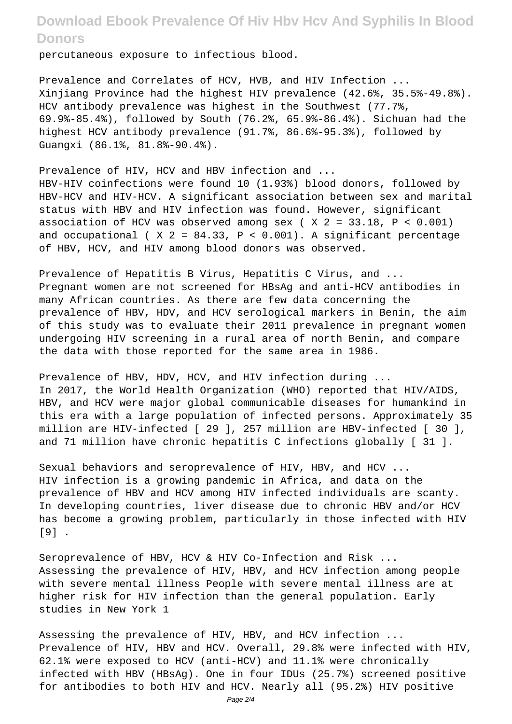percutaneous exposure to infectious blood.

Prevalence and Correlates of HCV, HVB, and HIV Infection ... Xinjiang Province had the highest HIV prevalence (42.6%, 35.5%-49.8%). HCV antibody prevalence was highest in the Southwest (77.7%, 69.9%-85.4%), followed by South (76.2%, 65.9%-86.4%). Sichuan had the highest HCV antibody prevalence (91.7%, 86.6%-95.3%), followed by Guangxi (86.1%, 81.8%-90.4%).

Prevalence of HIV, HCV and HBV infection and ... HBV-HIV coinfections were found 10 (1.93%) blood donors, followed by HBV-HCV and HIV-HCV. A significant association between sex and marital status with HBV and HIV infection was found. However, significant association of HCV was observed among sex ( $X = 33.18$ ,  $P < 0.001$ ) and occupational (  $X$  2 = 84.33, P < 0.001). A significant percentage of HBV, HCV, and HIV among blood donors was observed.

Prevalence of Hepatitis B Virus, Hepatitis C Virus, and ... Pregnant women are not screened for HBsAg and anti-HCV antibodies in many African countries. As there are few data concerning the prevalence of HBV, HDV, and HCV serological markers in Benin, the aim of this study was to evaluate their 2011 prevalence in pregnant women undergoing HIV screening in a rural area of north Benin, and compare the data with those reported for the same area in 1986.

Prevalence of HBV, HDV, HCV, and HIV infection during ... In 2017, the World Health Organization (WHO) reported that HIV/AIDS, HBV, and HCV were major global communicable diseases for humankind in this era with a large population of infected persons. Approximately 35 million are HIV-infected [ 29 ], 257 million are HBV-infected [ 30 ], and 71 million have chronic hepatitis C infections globally [ 31 ].

Sexual behaviors and seroprevalence of HIV, HBV, and HCV ... HIV infection is a growing pandemic in Africa, and data on the prevalence of HBV and HCV among HIV infected individuals are scanty. In developing countries, liver disease due to chronic HBV and/or HCV has become a growing problem, particularly in those infected with HIV [9] .

Seroprevalence of HBV, HCV & HIV Co-Infection and Risk ... Assessing the prevalence of HIV, HBV, and HCV infection among people with severe mental illness People with severe mental illness are at higher risk for HIV infection than the general population. Early studies in New York 1

Assessing the prevalence of HIV, HBV, and HCV infection ... Prevalence of HIV, HBV and HCV. Overall, 29.8% were infected with HIV, 62.1% were exposed to HCV (anti-HCV) and 11.1% were chronically infected with HBV (HBsAg). One in four IDUs (25.7%) screened positive for antibodies to both HIV and HCV. Nearly all (95.2%) HIV positive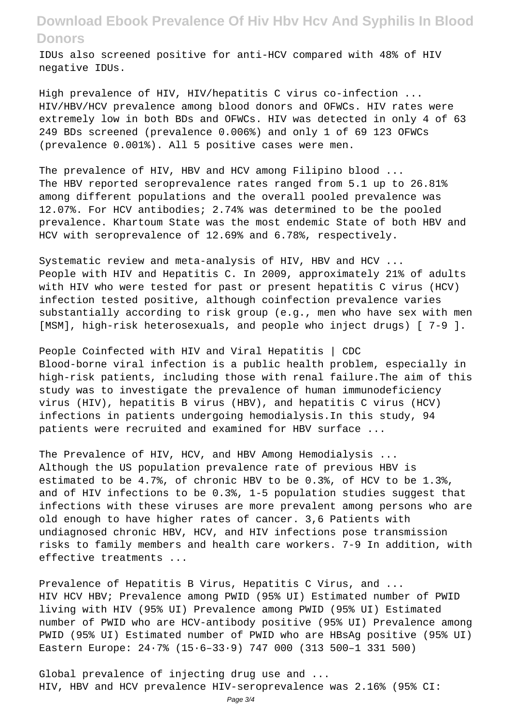IDUs also screened positive for anti-HCV compared with 48% of HIV negative IDUs.

High prevalence of HIV, HIV/hepatitis C virus co-infection ... HIV/HBV/HCV prevalence among blood donors and OFWCs. HIV rates were extremely low in both BDs and OFWCs. HIV was detected in only 4 of 63 249 BDs screened (prevalence 0.006%) and only 1 of 69 123 OFWCs (prevalence 0.001%). All 5 positive cases were men.

The prevalence of HIV, HBV and HCV among Filipino blood ... The HBV reported seroprevalence rates ranged from 5.1 up to 26.81% among different populations and the overall pooled prevalence was 12.07%. For HCV antibodies; 2.74% was determined to be the pooled prevalence. Khartoum State was the most endemic State of both HBV and HCV with seroprevalence of 12.69% and 6.78%, respectively.

Systematic review and meta-analysis of HIV, HBV and HCV ... People with HIV and Hepatitis C. In 2009, approximately 21% of adults with HIV who were tested for past or present hepatitis C virus (HCV) infection tested positive, although coinfection prevalence varies substantially according to risk group (e.g., men who have sex with men [MSM], high-risk heterosexuals, and people who inject drugs) [ 7-9 ].

People Coinfected with HIV and Viral Hepatitis | CDC Blood-borne viral infection is a public health problem, especially in high-risk patients, including those with renal failure.The aim of this study was to investigate the prevalence of human immunodeficiency virus (HIV), hepatitis B virus (HBV), and hepatitis C virus (HCV) infections in patients undergoing hemodialysis.In this study, 94 patients were recruited and examined for HBV surface ...

The Prevalence of HIV, HCV, and HBV Among Hemodialysis ... Although the US population prevalence rate of previous HBV is estimated to be 4.7%, of chronic HBV to be 0.3%, of HCV to be 1.3%, and of HIV infections to be 0.3%, 1-5 population studies suggest that infections with these viruses are more prevalent among persons who are old enough to have higher rates of cancer. 3,6 Patients with undiagnosed chronic HBV, HCV, and HIV infections pose transmission risks to family members and health care workers. 7-9 In addition, with effective treatments ...

Prevalence of Hepatitis B Virus, Hepatitis C Virus, and ... HIV HCV HBV; Prevalence among PWID (95% UI) Estimated number of PWID living with HIV (95% UI) Prevalence among PWID (95% UI) Estimated number of PWID who are HCV-antibody positive (95% UI) Prevalence among PWID (95% UI) Estimated number of PWID who are HBsAg positive (95% UI) Eastern Europe: 24·7% (15·6–33·9) 747 000 (313 500–1 331 500)

Global prevalence of injecting drug use and ... HIV, HBV and HCV prevalence HIV-seroprevalence was 2.16% (95% CI: